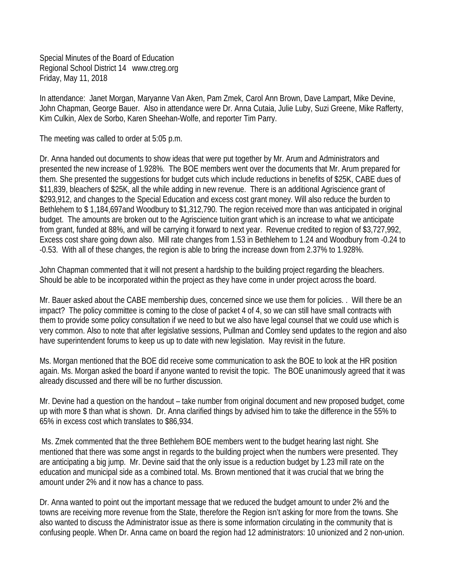Special Minutes of the Board of Education Regional School District 14 www.ctreg.org Friday, May 11, 2018

In attendance: Janet Morgan, Maryanne Van Aken, Pam Zmek, Carol Ann Brown, Dave Lampart, Mike Devine, John Chapman, George Bauer. Also in attendance were Dr. Anna Cutaia, Julie Luby, Suzi Greene, Mike Rafferty, Kim Culkin, Alex de Sorbo, Karen Sheehan-Wolfe, and reporter Tim Parry.

The meeting was called to order at 5:05 p.m.

Dr. Anna handed out documents to show ideas that were put together by Mr. Arum and Administrators and presented the new increase of 1.928%. The BOE members went over the documents that Mr. Arum prepared for them. She presented the suggestions for budget cuts which include reductions in benefits of \$25K, CABE dues of \$11,839, bleachers of \$25K, all the while adding in new revenue. There is an additional Agriscience grant of \$293,912, and changes to the Special Education and excess cost grant money. Will also reduce the burden to Bethlehem to \$ 1,184,697and Woodbury to \$1,312,790. The region received more than was anticipated in original budget. The amounts are broken out to the Agriscience tuition grant which is an increase to what we anticipate from grant, funded at 88%, and will be carrying it forward to next year. Revenue credited to region of \$3,727,992, Excess cost share going down also. Mill rate changes from 1.53 in Bethlehem to 1.24 and Woodbury from -0.24 to -0.53. With all of these changes, the region is able to bring the increase down from 2.37% to 1.928%.

John Chapman commented that it will not present a hardship to the building project regarding the bleachers. Should be able to be incorporated within the project as they have come in under project across the board.

Mr. Bauer asked about the CABE membership dues, concerned since we use them for policies. . Will there be an impact? The policy committee is coming to the close of packet 4 of 4, so we can still have small contracts with them to provide some policy consultation if we need to but we also have legal counsel that we could use which is very common. Also to note that after legislative sessions, Pullman and Comley send updates to the region and also have superintendent forums to keep us up to date with new legislation. May revisit in the future.

Ms. Morgan mentioned that the BOE did receive some communication to ask the BOE to look at the HR position again. Ms. Morgan asked the board if anyone wanted to revisit the topic. The BOE unanimously agreed that it was already discussed and there will be no further discussion.

Mr. Devine had a question on the handout – take number from original document and new proposed budget, come up with more \$ than what is shown. Dr. Anna clarified things by advised him to take the difference in the 55% to 65% in excess cost which translates to \$86,934.

Ms. Zmek commented that the three Bethlehem BOE members went to the budget hearing last night. She mentioned that there was some angst in regards to the building project when the numbers were presented. They are anticipating a big jump. Mr. Devine said that the only issue is a reduction budget by 1.23 mill rate on the education and municipal side as a combined total. Ms. Brown mentioned that it was crucial that we bring the amount under 2% and it now has a chance to pass.

Dr. Anna wanted to point out the important message that we reduced the budget amount to under 2% and the towns are receiving more revenue from the State, therefore the Region isn't asking for more from the towns. She also wanted to discuss the Administrator issue as there is some information circulating in the community that is confusing people. When Dr. Anna came on board the region had 12 administrators: 10 unionized and 2 non-union.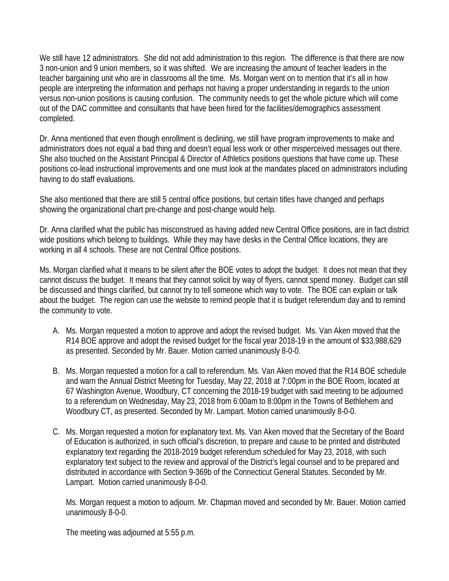We still have 12 administrators. She did not add administration to this region. The difference is that there are now 3 non-union and 9 union members, so it was shifted. We are increasing the amount of teacher leaders in the teacher bargaining unit who are in classrooms all the time. Ms. Morgan went on to mention that it's all in how people are interpreting the information and perhaps not having a proper understanding in regards to the union versus non-union positions is causing confusion. The community needs to get the whole picture which will come out of the DAC committee and consultants that have been hired for the facilities/demographics assessment completed.

Dr. Anna mentioned that even though enrollment is declining, we still have program improvements to make and administrators does not equal a bad thing and doesn't equal less work or other misperceived messages out there. She also touched on the Assistant Principal & Director of Athletics positions questions that have come up. These positions co-lead instructional improvements and one must look at the mandates placed on administrators including having to do staff evaluations.

She also mentioned that there are still 5 central office positions, but certain titles have changed and perhaps showing the organizational chart pre-change and post-change would help.

Dr. Anna clarified what the public has misconstrued as having added new Central Office positions, are in fact district wide positions which belong to buildings. While they may have desks in the Central Office locations, they are working in all 4 schools. These are not Central Office positions.

Ms. Morgan clarified what it means to be silent after the BOE votes to adopt the budget. It does not mean that they cannot discuss the budget. It means that they cannot solicit by way of flyers, cannot spend money. Budget can still be discussed and things clarified, but cannot try to tell someone which way to vote. The BOE can explain or talk about the budget. The region can use the website to remind people that it is budget referendum day and to remind the community to vote.

- A. Ms. Morgan requested a motion to approve and adopt the revised budget. Ms. Van Aken moved that the R14 BOE approve and adopt the revised budget for the fiscal year 2018-19 in the amount of \$33,988,629 as presented. Seconded by Mr. Bauer. Motion carried unanimously 8-0-0.
- B. Ms. Morgan requested a motion for a call to referendum. Ms. Van Aken moved that the R14 BOE schedule and warn the Annual District Meeting for Tuesday, May 22, 2018 at 7:00pm in the BOE Room, located at 67 Washington Avenue, Woodbury, CT concerning the 2018-19 budget with said meeting to be adjourned to a referendum on Wednesday, May 23, 2018 from 6:00am to 8:00pm in the Towns of Bethlehem and Woodbury CT, as presented. Seconded by Mr. Lampart. Motion carried unanimously 8-0-0.
- C. Ms. Morgan requested a motion for explanatory text. Ms. Van Aken moved that the Secretary of the Board of Education is authorized, in such official's discretion, to prepare and cause to be printed and distributed explanatory text regarding the 2018-2019 budget referendum scheduled for May 23, 2018, with such explanatory text subject to the review and approval of the District's legal counsel and to be prepared and distributed in accordance with Section 9-369b of the Connecticut General Statutes. Seconded by Mr. Lampart. Motion carried unanimously 8-0-0.

Ms. Morgan request a motion to adjourn. Mr. Chapman moved and seconded by Mr. Bauer. Motion carried unanimously 8-0-0.

The meeting was adjourned at 5:55 p.m.